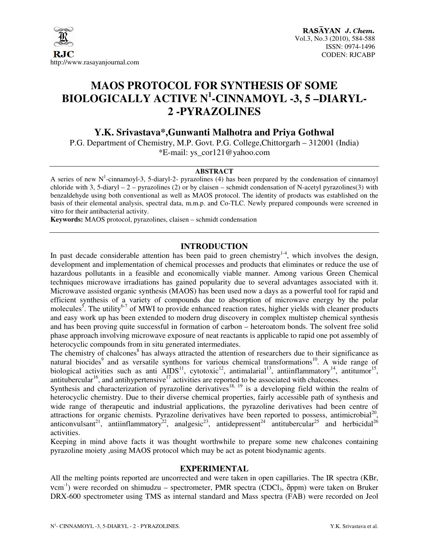

# **MAOS PROTOCOL FOR SYNTHESIS OF SOME BIOLOGICALLY ACTIVE N<sup>1</sup> -CINNAMOYL -3, 5 –DIARYL-2 -PYRAZOLINES**

## **Y.K. Srivastava\*,Gunwanti Malhotra and Priya Gothwal**

P.G. Department of Chemistry, M.P. Govt. P.G. College,Chittorgarh – 312001 (India) \*E-mail: ys\_cor121@yahoo.com

#### **ABSTRACT**

A series of new  $N^1$ -cinnamoyl-3, 5-diaryl-2- pyrazolines (4) has been prepared by the condensation of cinnamoyl chloride with 3, 5-diaryl – 2 – pyrazolines (2) or by claisen – schmidt condensation of N-acetyl pyrazolines(3) with benzaldehyde using both conventional as well as MAOS protocol. The identity of products was established on the basis of their elemental analysis, spectral data, m.m.p. and Co-TLC. Newly prepared compounds were screened in vitro for their antibacterial activity.

**Keywords:** MAOS protocol, pyrazolines, claisen – schmidt condensation

## **INTRODUCTION**

In past decade considerable attention has been paid to green chemistry<sup>1-4</sup>, which involves the design, development and implementation of chemical processes and products that eliminates or reduce the use of hazardous pollutants in a feasible and economically viable manner. Among various Green Chemical techniques microwave irradiations has gained popularity due to several advantages associated with it. Microwave assisted organic synthesis (MAOS) has been used now a days as a powerful tool for rapid and efficient synthesis of a variety of compounds due to absorption of microwave energy by the polar molecules<sup>5</sup>. The utility<sup>6-7</sup> of MWI to provide enhanced reaction rates, higher yields with cleaner products and easy work up has been extended to modern drug discovery in complex multistep chemical synthesis and has been proving quite successful in formation of carbon – heteroatom bonds. The solvent free solid phase approach involving microwave exposure of neat reactants is applicable to rapid one pot assembly of heterocyclic compounds from in situ generated intermediates.

The chemistry of chalcones<sup>8</sup> has always attracted the attention of researchers due to their significance as natural biocides<sup>9</sup> and as versatile synthons for various chemical transformations<sup>10</sup>. A wide range of biological activities such as anti  $\text{AIDS}^{11}$ , cytotoxic<sup>12</sup>, antimalarial<sup>13</sup>, antiinflammatory<sup>14</sup>, antitumor<sup>15</sup>, antitubercular<sup>16</sup>, and antihypertensive<sup>17</sup> activities are reported to be associated with chalcones.

Synthesis and characterization of pyrazoline derivatives<sup>18, 19</sup> is a developing field within the realm of heterocyclic chemistry. Due to their diverse chemical properties, fairly accessible path of synthesis and wide range of therapeutic and industrial applications, the pyrazoline derivatives had been centre of attractions for organic chemists. Pyrazoline derivatives have been reported to possess, antimicrobial<sup>20</sup>, anticonvulsant<sup>21</sup>, antiinflammatory<sup>22</sup>, analgesic<sup>23</sup>, antidepressent<sup>24</sup> antitubercular<sup>25</sup> and herbicidal<sup>26</sup> activities.

Keeping in mind above facts it was thought worthwhile to prepare some new chalcones containing pyrazoline moiety ,using MAOS protocol which may be act as potent biodynamic agents.

## **EXPERIMENTAL**

All the melting points reported are uncorrected and were taken in open capillaries. The IR spectra (KBr,  $vcm^{-1}$ ) were recorded on shimudzu – spectrometer, PMR spectra (CDCl<sub>3</sub>,  $\delta$ ppm) were taken on Bruker DRX-600 spectrometer using TMS as internal standard and Mass spectra (FAB) were recorded on Jeol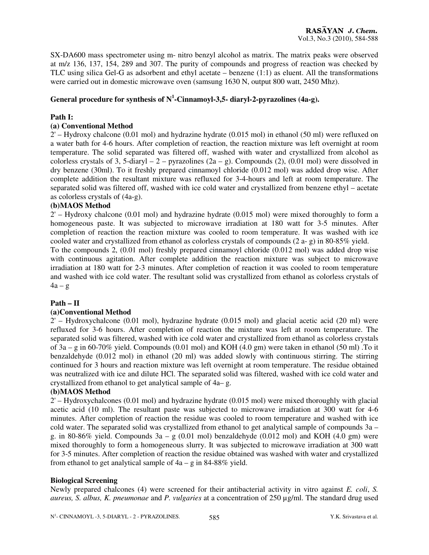SX-DA600 mass spectrometer using m- nitro benzyl alcohol as matrix. The matrix peaks were observed at m/z 136, 137, 154, 289 and 307. The purity of compounds and progress of reaction was checked by TLC using silica Gel-G as adsorbent and ethyl acetate – benzene (1:1) as eluent. All the transformations were carried out in domestic microwave oven (samsung 1630 N, output 800 watt, 2450 Mhz).

## **General procedure for synthesis of N<sup>1</sup> -Cinnamoyl-3,5- diaryl-2-pyrazolines (4a-g).**

#### **Path I:**

### **(a) Conventional Method**

2' – Hydroxy chalcone (0.01 mol) and hydrazine hydrate (0.015 mol) in ethanol (50 ml) were refluxed on a water bath for 4-6 hours. After completion of reaction, the reaction mixture was left overnight at room temperature. The solid separated was filtered off, washed with water and crystallized from alcohol as colorless crystals of 3, 5-diaryl – 2 – pyrazolines  $(2a - g)$ . Compounds (2), (0.01 mol) were dissolved in dry benzene (30ml). To it freshly prepared cinnamoyl chloride (0.012 mol) was added drop wise. After complete addition the resultant mixture was refluxed for 3-4-hours and left at room temperature. The separated solid was filtered off, washed with ice cold water and crystallized from benzene ethyl – acetate as colorless crystals of (4a-g).

#### **(b)MAOS Method**

2' – Hydroxy chalcone (0.01 mol) and hydrazine hydrate (0.015 mol) were mixed thoroughly to form a homogeneous paste. It was subjected to microwave irradiation at 180 watt for 3-5 minutes. After completion of reaction the reaction mixture was cooled to room temperature. It was washed with ice cooled water and crystallized from ethanol as colorless crystals of compounds (2 a- g) in 80-85% yield.

To the compounds 2, (0.01 mol) freshly prepared cinnamoyl chloride (0.012 mol) was added drop wise with continuous agitation. After complete addition the reaction mixture was subject to microwave irradiation at 180 watt for 2-3 minutes. After completion of reaction it was cooled to room temperature and washed with ice cold water. The resultant solid was crystallized from ethanol as colorless crystals of  $4a - g$ 

#### **Path – II**

#### **(a)Conventional Method**

 $2'$  – Hydroxychalcone (0.01 mol), hydrazine hydrate (0.015 mol) and glacial acetic acid (20 ml) were refluxed for 3-6 hours. After completion of reaction the mixture was left at room temperature. The separated solid was filtered, washed with ice cold water and crystallized from ethanol as colorless crystals of 3a – g in 60-70% yield. Compounds (0.01 mol) and KOH (4.0 gm) were taken in ethanol (50 ml) .To it benzaldehyde (0.012 mol) in ethanol (20 ml) was added slowly with continuous stirring. The stirring continued for 3 hours and reaction mixture was left overnight at room temperature. The residue obtained was neutralized with ice and dilute HCl. The separated solid was filtered, washed with ice cold water and crystallized from ethanol to get analytical sample of 4a– g.

#### **(b)MAOS Method**

2' – Hydroxychalcones (0.01 mol) and hydrazine hydrate (0.015 mol) were mixed thoroughly with glacial acetic acid (10 ml). The resultant paste was subjected to microwave irradiation at 300 watt for 4-6 minutes. After completion of reaction the residue was cooled to room temperature and washed with ice cold water. The separated solid was crystallized from ethanol to get analytical sample of compounds 3a – g. in 80-86% yield. Compounds  $3a - g$  (0.01 mol) benzaldehyde (0.012 mol) and KOH (4.0 gm) were mixed thoroughly to form a homogeneous slurry. It was subjected to microwave irradiation at 300 watt for 3-5 minutes. After completion of reaction the residue obtained was washed with water and crystallized from ethanol to get analytical sample of  $4a - g$  in 84-88% yield.

#### **Biological Screening**

Newly prepared chalcones (4) were screened for their antibacterial activity in vitro against *E. coli*, *S. aureus, S. albus, K. pneumonae* and *P. vulgaries* at a concentration of 250 µg/ml. The standard drug used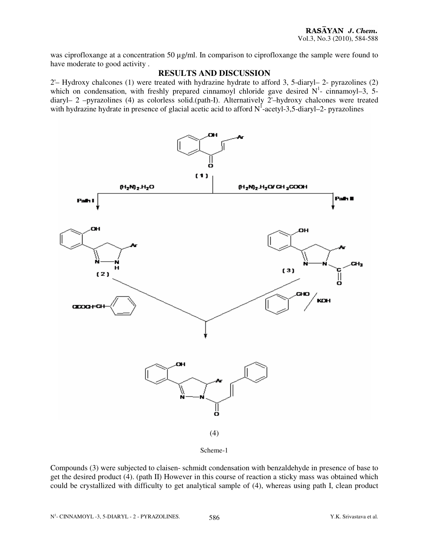was ciprofloxange at a concentration 50  $\mu$ g/ml. In comparison to ciprofloxange the sample were found to have moderate to good activity .

## **RESULTS AND DISCUSSION**

2'– Hydroxy chalcones (1) were treated with hydrazine hydrate to afford 3, 5-diaryl– 2- pyrazolines (2) which on condensation, with freshly prepared cinnamoyl chloride gave desired  $N<sup>1</sup>$ - cinnamoyl-3, 5diaryl– 2 –pyrazolines (4) as colorless solid.(path-I). Alternatively 2'–hydroxy chalcones were treated with hydrazine hydrate in presence of glacial acetic acid to afford  $N^1$ -acetyl-3,5-diaryl-2- pyrazolines



Scheme-1

Compounds (3) were subjected to claisen- schmidt condensation with benzaldehyde in presence of base to get the desired product (4). (path II) However in this course of reaction a sticky mass was obtained which could be crystallized with difficulty to get analytical sample of (4), whereas using path I, clean product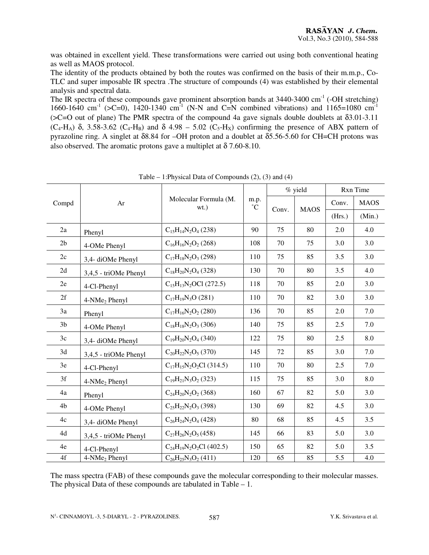was obtained in excellent yield. These transformations were carried out using both conventional heating as well as MAOS protocol.

The identity of the products obtained by both the routes was confirmed on the basis of their m.m.p., Co-TLC and super imposable IR spectra .The structure of compounds (4) was established by their elemental analysis and spectral data.

The IR spectra of these compounds gave prominent absorption bands at  $3440-3400$  cm<sup>-1</sup> (-OH stretching) 1660-1640 cm<sup>-1</sup> (>C=0), 1420-1340 cm<sup>-1</sup> (N-N and C=N combined vibrations) and 1165=1080 cm<sup>-1</sup> (>C=O out of plane) The PMR spectra of the compound 4a gave signals double doublets at δ3.01-3.11  $(C_4-H_A)$  δ, 3.58-3.62  $(C_4-H_B)$  and δ 4.98 – 5.02  $(C_5-H_X)$  confirming the presence of ABX pattern of pyrazoline ring. A singlet at  $\delta$ 8.84 for –OH proton and a doublet at  $\delta$ 5.56-5.60 for CH=CH protons was also observed. The aromatic protons gave a multiplet at  $\delta$  7.60-8.10.

| Compd          | Ar                        | Molecular Formula (M.<br>$wt.$ ) | m.p.<br>$\rm ^{\circ}C$ | % yield |             | Rxn Time |             |
|----------------|---------------------------|----------------------------------|-------------------------|---------|-------------|----------|-------------|
|                |                           |                                  |                         | Conv.   | <b>MAOS</b> | Conv.    | <b>MAOS</b> |
|                |                           |                                  |                         |         |             | (Hrs.)   | (Min.)      |
| 2a             | Phenyl                    | $C_{15}H_{14}N_2O_4$ (238)       | 90                      | 75      | 80          | 2.0      | 4.0         |
| 2 <sub>b</sub> | 4-OMe Phenyl              | $C_{16}H_{16}N_2O_2$ (268)       | 108                     | 70      | 75          | 3.0      | 3.0         |
| 2c             | 3,4- diOMe Phenyl         | $C_{17}H_{18}N_2O_3(298)$        | 110                     | 75      | 85          | 3.5      | 3.0         |
| 2d             | 3,4,5 - triOMe Phenyl     | $C_{18}H_{20}N_2O_4$ (328)       | 130                     | 70      | 80          | 3.5      | 4.0         |
| 2e             | 4-Cl-Phenyl               | $C_{15}H_{13}N_2$ OCl (272.5)    | 118                     | 70      | 85          | 2.0      | 3.0         |
| 2f             | 4-NMe <sub>2</sub> Phenyl | $C_{17}H_{19}N_3O(281)$          | 110                     | 70      | 82          | 3.0      | 3.0         |
| 3a             | Phenyl                    | $C_{17}H_{16}N_2O_2(280)$        | 136                     | 70      | 85          | 2.0      | 7.0         |
| 3b             | 4-OMe Phenyl              | $C_{18}H_{18}N_2O_3$ (306)       | 140                     | 75      | 85          | 2.5      | 7.0         |
| 3c             | 3,4- diOMe Phenyl         | $C_{19}H_{20}N_2O_4$ (340)       | 122                     | 75      | 80          | 2.5      | 8.0         |
| 3d             | 3,4,5 - triOMe Phenyl     | $C_{20}H_{22}N_2O_5(370)$        | 145                     | 72      | 85          | 3.0      | 7.0         |
| 3e             | 4-Cl-Phenyl               | $C_{17}H_{15}N_2O_2Cl$ (314.5)   | 110                     | 70      | 80          | 2.5      | 7.0         |
| 3f             | 4-NMe <sub>2</sub> Phenyl | $C_{19}H_{21}N_3O_2$ (323)       | 115                     | 75      | 85          | 3.0      | 8.0         |
| 4a             | Phenyl                    | $C_{24}H_{20}N_2O_2(368)$        | 160                     | 67      | 82          | 5.0      | 3.0         |
| 4b             | 4-OMe Phenyl              | $C_{25}H_{22}N_2O_3$ (398)       | 130                     | 69      | 82          | 4.5      | 3.0         |
| 4c             | 3,4- diOMe Phenyl         | $C_{26}H_{24}N_2O_4$ (428)       | 80                      | 68      | 85          | 4.5      | 3.5         |
| 4d             | 3,4,5 - triOMe Phenyl     | $C_{27}H_{26}N_2O_5(458)$        | 145                     | 66      | 83          | 5.0      | 3.0         |
| 4e             | 4-Cl-Phenyl               | $C_{24}H_{19}N_2O_2Cl$ (402.5)   | 150                     | 65      | 82          | 5.0      | 3.5         |
| 4f             | 4-NMe <sub>2</sub> Phenyl | $C_{26}H_{25}N_3O_2$ (411)       | 120                     | 65      | 85          | 5.5      | 4.0         |

Table – 1:Physical Data of Compounds (2), (3) and (4)

The mass spectra (FAB) of these compounds gave the molecular corresponding to their molecular masses. The physical Data of these compounds are tabulated in Table – 1.